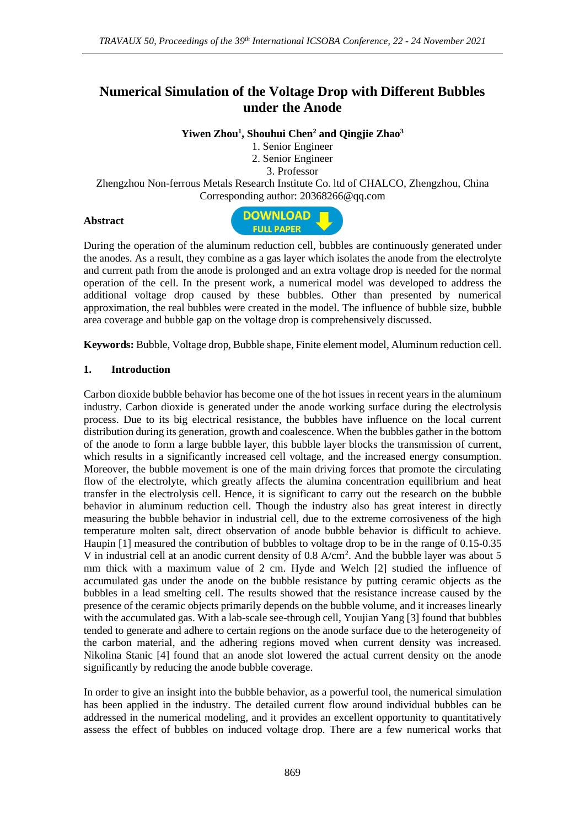# **Numerical Simulation of the Voltage Drop with Different Bubbles under the Anode**

**Yiwen Zhou<sup>1</sup> , Shouhui Chen<sup>2</sup> and Qingjie Zhao<sup>3</sup>**

1. Senior Engineer 2. Senior Engineer 3. Professor Zhengzhou Non-ferrous Metals Research Institute Co. ltd of CHALCO, Zhengzhou, China Corresponding author: 20368266@qq.com

### **Abstract**



During the operation of the aluminum reduction cell, bubbles are continuously generated under the anodes. As a result, they combine as a gas layer which isolates the anode from the electrolyte and current path from the anode is prolonged and an extra voltage drop is needed for the normal operation of the cell. In the present work, a numerical model was developed to address the additional voltage drop caused by these bubbles. Other than presented by numerical approximation, the real bubbles were created in the model. The influence of bubble size, bubble area coverage and bubble gap on the voltage drop is comprehensively discussed.

**Keywords:** Bubble, Voltage drop, Bubble shape, Finite element model, Aluminum reduction cell.

### **1. Introduction**

Carbon dioxide bubble behavior has become one of the hot issues in recent years in the aluminum industry. Carbon dioxide is generated under the anode working surface during the electrolysis process. Due to its big electrical resistance, the bubbles have influence on the local current distribution during its generation, growth and coalescence. When the bubbles gather in the bottom of the anode to form a large bubble layer, this bubble layer blocks the transmission of current, which results in a significantly increased cell voltage, and the increased energy consumption. Moreover, the bubble movement is one of the main driving forces that promote the circulating flow of the electrolyte, which greatly affects the alumina concentration equilibrium and heat transfer in the electrolysis cell. Hence, it is significant to carry out the research on the bubble behavior in aluminum reduction cell. Though the industry also has great interest in directly measuring the bubble behavior in industrial cell, due to the extreme corrosiveness of the high temperature molten salt, direct observation of anode bubble behavior is difficult to achieve. Haupin [1] measured the contribution of bubbles to voltage drop to be in the range of 0.15-0.35 V in industrial cell at an anodic current density of 0.8 A/cm<sup>2</sup> . And the bubble layer was about 5 mm thick with a maximum value of 2 cm. Hyde and Welch [2] studied the influence of accumulated gas under the anode on the bubble resistance by putting ceramic objects as the bubbles in a lead smelting cell. The results showed that the resistance increase caused by the presence of the ceramic objects primarily depends on the bubble volume, and it increases linearly with the accumulated gas. With a lab-scale see-through cell, Youjian Yang [3] found that bubbles tended to generate and adhere to certain regions on the anode surface due to the heterogeneity of the carbon material, and the adhering regions moved when current density was increased. Nikolina Stanic [4] found that an anode slot lowered the actual current density on the anode significantly by reducing the anode bubble coverage.

In order to give an insight into the bubble behavior, as a powerful tool, the numerical simulation has been applied in the industry. The detailed current flow around individual bubbles can be addressed in the numerical modeling, and it provides an excellent opportunity to quantitatively assess the effect of bubbles on induced voltage drop. There are a few numerical works that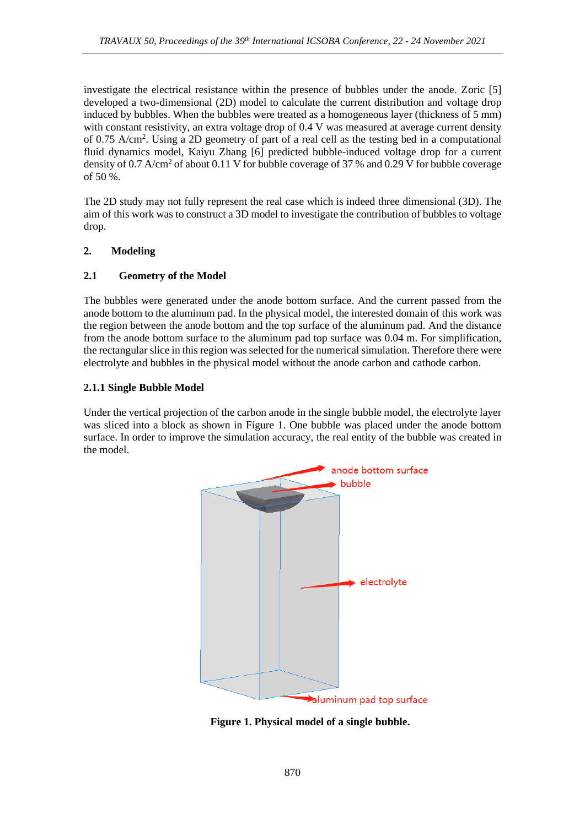investigate the electrical resistance within the presence of bubbles under the anode. Zoric [5] developed a two-dimensional (2D) model to calculate the current distribution and voltage drop induced by bubbles. When the bubbles were treated as a homogeneous layer (thickness of 5 mm) with constant resistivity, an extra voltage drop of 0.4 V was measured at average current density of 0.75 A/cm<sup>2</sup> . Using a 2D geometry of part of a real cell as the testing bed in a computational fluid dynamics model, Kaiyu Zhang [6] predicted bubble-induced voltage drop for a current density of 0.7 A/cm<sup>2</sup> of about 0.11 V for bubble coverage of 37 % and 0.29 V for bubble coverage of 50 %.

The 2D study may not fully represent the real case which is indeed three dimensional (3D). The aim of this work was to construct a 3D model to investigate the contribution of bubbles to voltage drop.

# **2. Modeling**

# **2.1 Geometry of the Model**

The bubbles were generated under the anode bottom surface. And the current passed from the anode bottom to the aluminum pad. In the physical model, the interested domain of this work was the region between the anode bottom and the top surface of the aluminum pad. And the distance from the anode bottom surface to the aluminum pad top surface was 0.04 m. For simplification, the rectangular slice in this region was selected for the numerical simulation. Therefore there were electrolyte and bubbles in the physical model without the anode carbon and cathode carbon.

# **2.1.1 Single Bubble Model**

Under the vertical projection of the carbon anode in the single bubble model, the electrolyte layer was sliced into a block as shown in Figure 1. One bubble was placed under the anode bottom surface. In order to improve the simulation accuracy, the real entity of the bubble was created in the model.



**Figure 1. Physical model of a single bubble.**